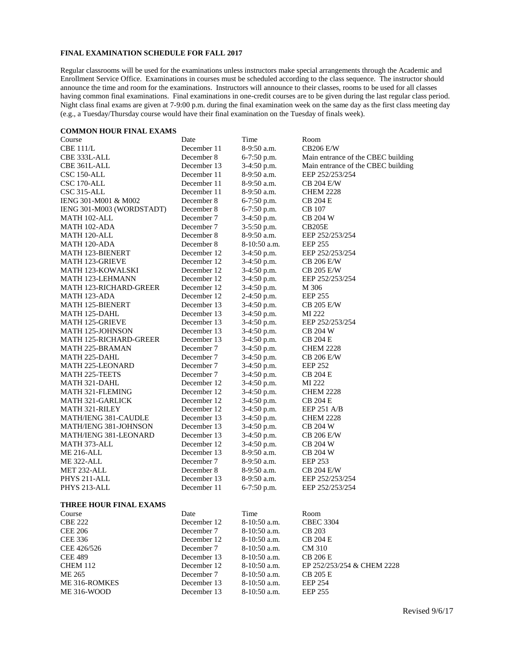## **FINAL EXAMINATION SCHEDULE FOR FALL 2017**

Regular classrooms will be used for the examinations unless instructors make special arrangements through the Academic and Enrollment Service Office. Examinations in courses must be scheduled according to the class sequence. The instructor should announce the time and room for the examinations. Instructors will announce to their classes, rooms to be used for all classes having common final examinations. Final examinations in one-credit courses are to be given during the last regular class period. Night class final exams are given at 7-9:00 p.m. during the final examination week on the same day as the first class meeting day (e.g., a Tuesday/Thursday course would have their final examination on the Tuesday of finals week).

## **COMMON HOUR FINAL EXAMS**

| Course                        | Date        | Time          | Room                               |  |
|-------------------------------|-------------|---------------|------------------------------------|--|
| <b>CBE 111/L</b>              | December 11 | 8-9:50 a.m.   | <b>CB206 E/W</b>                   |  |
| CBE 333L-ALL                  | December 8  | 6-7:50 p.m.   | Main entrance of the CBEC building |  |
| CBE 361L-ALL                  | December 13 | 3-4:50 p.m.   | Main entrance of the CBEC building |  |
| CSC 150-ALL                   | December 11 | 8-9:50 a.m.   | EEP 252/253/254                    |  |
| CSC 170-ALL                   | December 11 | 8-9:50 a.m.   | CB 204 E/W                         |  |
| CSC 315-ALL                   | December 11 | 8-9:50 a.m.   | <b>CHEM 2228</b>                   |  |
| IENG 301-M001 & M002          | December 8  | 6-7:50 p.m.   | <b>CB 204 E</b>                    |  |
| IENG 301-M003 (WORDSTADT)     | December 8  | 6-7:50 p.m.   | CB 107                             |  |
| MATH 102-ALL                  | December 7  | 3-4:50 p.m.   | <b>CB 204 W</b>                    |  |
| MATH 102-ADA                  | December 7  | 3-5:50 p.m.   | <b>CB205E</b>                      |  |
| MATH 120-ALL                  | December 8  | 8-9:50 a.m.   | EEP 252/253/254                    |  |
| MATH 120-ADA                  | December 8  | 8-10:50 a.m.  | <b>EEP 255</b>                     |  |
| MATH 123-BIENERT              | December 12 | $3-4:50$ p.m. | EEP 252/253/254                    |  |
| MATH 123-GRIEVE               | December 12 | 3-4:50 p.m.   | CB 206 E/W                         |  |
| <b>MATH 123-KOWALSKI</b>      | December 12 | 3-4:50 p.m.   | <b>CB 205 E/W</b>                  |  |
| <b>MATH 123-LEHMANN</b>       | December 12 | 3-4:50 p.m.   | EEP 252/253/254                    |  |
| <b>MATH 123-RICHARD-GREER</b> | December 12 | 3-4:50 p.m.   | M 306                              |  |
| MATH 123-ADA                  | December 12 | 2-4:50 p.m.   | <b>EEP 255</b>                     |  |
| <b>MATH 125-BIENERT</b>       | December 13 | 3-4:50 p.m.   | CB 205 E/W                         |  |
| <b>MATH 125-DAHL</b>          | December 13 | $3-4:50$ p.m. | MI 222                             |  |
| <b>MATH 125-GRIEVE</b>        | December 13 | 3-4:50 p.m.   | EEP 252/253/254                    |  |
| <b>MATH 125-JOHNSON</b>       | December 13 | 3-4:50 p.m.   | <b>CB 204 W</b>                    |  |
| <b>MATH 125-RICHARD-GREER</b> | December 13 | 3-4:50 p.m.   | <b>CB 204 E</b>                    |  |
| <b>MATH 225-BRAMAN</b>        | December 7  | $3-4:50$ p.m. | <b>CHEM 2228</b>                   |  |
| MATH 225-DAHL                 | December 7  | 3-4:50 p.m.   | <b>CB 206 E/W</b>                  |  |
| <b>MATH 225-LEONARD</b>       | December 7  | 3-4:50 p.m.   | <b>EEP 252</b>                     |  |
| <b>MATH 225-TEETS</b>         | December 7  | 3-4:50 p.m.   | CB 204 E                           |  |
| MATH 321-DAHL                 | December 12 | 3-4:50 p.m.   | MI 222                             |  |
| MATH 321-FLEMING              | December 12 | 3-4:50 p.m.   | <b>CHEM 2228</b>                   |  |
| MATH 321-GARLICK              | December 12 | 3-4:50 p.m.   | <b>CB 204 E</b>                    |  |
| <b>MATH 321-RILEY</b>         | December 12 | 3-4:50 p.m.   | <b>EEP 251 A/B</b>                 |  |
| MATH/IENG 381-CAUDLE          | December 13 | 3-4:50 p.m.   | <b>CHEM 2228</b>                   |  |
| MATH/IENG 381-JOHNSON         | December 13 | 3-4:50 p.m.   | <b>CB 204 W</b>                    |  |
| MATH/IENG 381-LEONARD         | December 13 | 3-4:50 p.m.   | CB 206 E/W                         |  |
| MATH 373-ALL                  | December 12 | 3-4:50 p.m.   | CB 204 W                           |  |
| <b>ME 216-ALL</b>             | December 13 | 8-9:50 a.m.   | <b>CB 204 W</b>                    |  |
| ME 322-ALL                    | December 7  | 8-9:50 a.m.   | <b>EEP 253</b>                     |  |
| MET 232-ALL                   | December 8  | 8-9:50 a.m.   | <b>CB 204 E/W</b>                  |  |
| PHYS 211-ALL                  | December 13 | 8-9:50 a.m.   | EEP 252/253/254                    |  |
| PHYS 213-ALL                  | December 11 | $6-7:50$ p.m. | EEP 252/253/254                    |  |
|                               |             |               |                                    |  |
| <b>THREE HOUR FINAL EXAMS</b> |             |               |                                    |  |
| Course                        | Date        | Time          | Room                               |  |
| <b>CBE 222</b>                | December 12 | 8-10:50 a.m.  | <b>CBEC 3304</b>                   |  |
| <b>CEE 206</b>                | December 7  | 8-10:50 a.m.  | <b>CB 203</b>                      |  |
| <b>CEE 336</b>                | December 12 | 8-10:50 a.m.  | <b>CB 204 E</b>                    |  |
| CEE 426/526                   | December 7  | 8-10:50 a.m.  | CM 310                             |  |
| <b>CEE 489</b>                | December 13 | 8-10:50 a.m.  | <b>CB 206 E</b>                    |  |
| <b>CHEM 112</b>               | December 12 | 8-10:50 a.m.  | EP 252/253/254 & CHEM 2228         |  |
| ME 265                        | December 7  | 8-10:50 a.m.  | <b>CB 205 E</b>                    |  |
| ME 316-ROMKES                 | December 13 | 8-10:50 a.m.  | <b>EEP 254</b>                     |  |
| ME 316-WOOD                   | December 13 | 8-10:50 a.m.  | <b>EEP 255</b>                     |  |